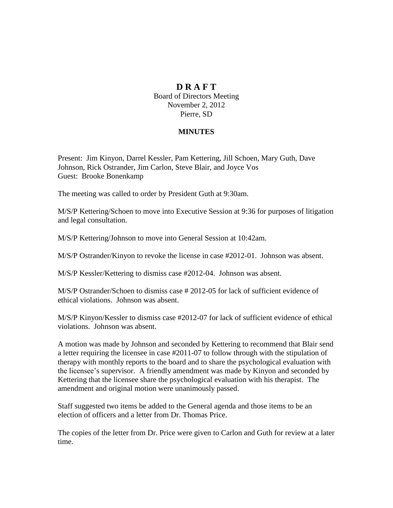## **D R A F T**

Board of Directors Meeting November 2, 2012 Pierre, SD

## **MINUTES**

Present: Jim Kinyon, Darrel Kessler, Pam Kettering, Jill Schoen, Mary Guth, Dave Johnson, Rick Ostrander, Jim Carlon, Steve Blair, and Joyce Vos Guest: Brooke Bonenkamp

The meeting was called to order by President Guth at 9:30am.

M/S/P Kettering/Schoen to move into Executive Session at 9:36 for purposes of litigation and legal consultation.

M/S/P Kettering/Johnson to move into General Session at 10:42am.

M/S/P Ostrander/Kinyon to revoke the license in case #2012-01. Johnson was absent.

M/S/P Kessler/Kettering to dismiss case #2012-04. Johnson was absent.

M/S/P Ostrander/Schoen to dismiss case # 2012-05 for lack of sufficient evidence of ethical violations. Johnson was absent.

M/S/P Kinyon/Kessler to dismiss case #2012-07 for lack of sufficient evidence of ethical violations. Johnson was absent.

A motion was made by Johnson and seconded by Kettering to recommend that Blair send a letter requiring the licensee in case #2011-07 to follow through with the stipulation of therapy with monthly reports to the board and to share the psychological evaluation with the licensee's supervisor. A friendly amendment was made by Kinyon and seconded by Kettering that the licensee share the psychological evaluation with his therapist. The amendment and original motion were unanimously passed.

Staff suggested two items be added to the General agenda and those items to be an election of officers and a letter from Dr. Thomas Price.

The copies of the letter from Dr. Price were given to Carlon and Guth for review at a later time.